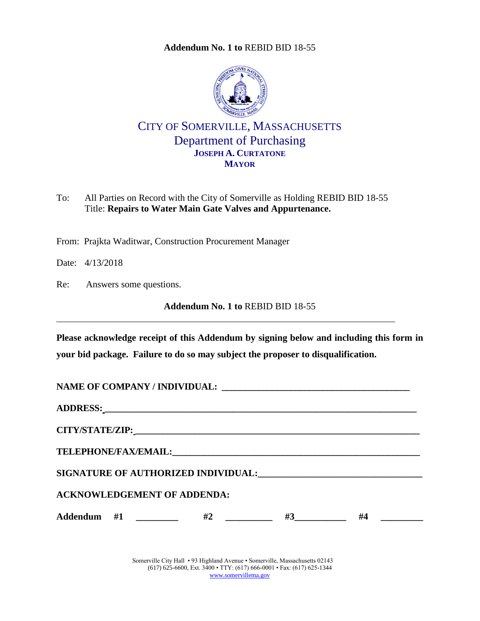**Addendum No. 1 to** [REBID BID 18-55](#page-0-0)

<span id="page-0-0"></span>

CITY OF SOMERVILLE, MASSACHUSETTS Department of Purchasing **JOSEPH A. CURTATONE MAYOR**

To: All Parties on Record with the City of Somerville as Holding REBID BID 18-55 Title: **Repairs to Water Main Gate Valves and Appurtenance.**

From: Prajkta Waditwar, Construction Procurement Manager

Date: 4/13/2018

Re: Answers some questions.

**Addendum No. 1 to** [REBID BID 18-55](#page-0-0)

**Please acknowledge receipt of this Addendum by signing below and including this form in your bid package. Failure to do so may subject the proposer to disqualification.**

| <b>ACKNOWLEDGEMENT OF ADDENDA:</b> |  |           |  |
|------------------------------------|--|-----------|--|
| Addendum #1 _________ #2 _______   |  | $#3$ $#4$ |  |

Somerville City Hall • 93 Highland Avenue • Somerville, Massachusetts 02143 (617) 625-6600, Ext. 3400 • TTY: (617) 666-0001 • Fax: (617) 625-1344 [www.somervillema.gov](http://www.somervillema.gov/)